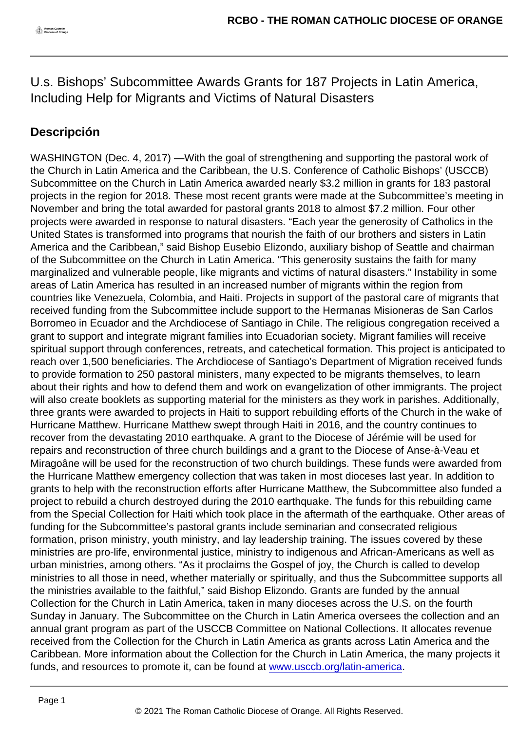## U.s. Bishops' Subcommittee Awards Grants for 187 Projects in Latin America, Including Help for Migrants and Victims of Natural Disasters

## Descripción

WASHINGTON (Dec. 4, 2017) —With the goal of strengthening and supporting the pastoral work of the Church in Latin America and the Caribbean, the U.S. Conference of Catholic Bishops' (USCCB) Subcommittee on the Church in Latin America awarded nearly \$3.2 million in grants for 183 pastoral projects in the region for 2018. These most recent grants were made at the Subcommittee's meeting in November and bring the total awarded for pastoral grants 2018 to almost \$7.2 million. Four other projects were awarded in response to natural disasters. "Each year the generosity of Catholics in the United States is transformed into programs that nourish the faith of our brothers and sisters in Latin America and the Caribbean," said Bishop Eusebio Elizondo, auxiliary bishop of Seattle and chairman of the Subcommittee on the Church in Latin America. "This generosity sustains the faith for many marginalized and vulnerable people, like migrants and victims of natural disasters." Instability in some areas of Latin America has resulted in an increased number of migrants within the region from countries like Venezuela, Colombia, and Haiti. Projects in support of the pastoral care of migrants that received funding from the Subcommittee include support to the Hermanas Misioneras de San Carlos Borromeo in Ecuador and the Archdiocese of Santiago in Chile. The religious congregation received a grant to support and integrate migrant families into Ecuadorian society. Migrant families will receive spiritual support through conferences, retreats, and catechetical formation. This project is anticipated to reach over 1,500 beneficiaries. The Archdiocese of Santiago's Department of Migration received funds to provide formation to 250 pastoral ministers, many expected to be migrants themselves, to learn about their rights and how to defend them and work on evangelization of other immigrants. The project will also create booklets as supporting material for the ministers as they work in parishes. Additionally, three grants were awarded to projects in Haiti to support rebuilding efforts of the Church in the wake of Hurricane Matthew. Hurricane Matthew swept through Haiti in 2016, and the country continues to recover from the devastating 2010 earthquake. A grant to the Diocese of Jérémie will be used for repairs and reconstruction of three church buildings and a grant to the Diocese of Anse-à-Veau et Miragoâne will be used for the reconstruction of two church buildings. These funds were awarded from the Hurricane Matthew emergency collection that was taken in most dioceses last year. In addition to grants to help with the reconstruction efforts after Hurricane Matthew, the Subcommittee also funded a project to rebuild a church destroyed during the 2010 earthquake. The funds for this rebuilding came from the Special Collection for Haiti which took place in the aftermath of the earthquake. Other areas of funding for the Subcommittee's pastoral grants include seminarian and consecrated religious formation, prison ministry, youth ministry, and lay leadership training. The issues covered by these ministries are pro-life, environmental justice, ministry to indigenous and African-Americans as well as urban ministries, among others. "As it proclaims the Gospel of joy, the Church is called to develop ministries to all those in need, whether materially or spiritually, and thus the Subcommittee supports all the ministries available to the faithful," said Bishop Elizondo. Grants are funded by the annual Collection for the Church in Latin America, taken in many dioceses across the U.S. on the fourth Sunday in January. The Subcommittee on the Church in Latin America oversees the collection and an annual grant program as part of the USCCB Committee on National Collections. It allocates revenue received from the Collection for the Church in Latin America as grants across Latin America and the Caribbean. More information about the Collection for the Church in Latin America, the many projects it funds, and resources to promote it, can be found at [www.usccb.org/latin-america](http://link.email.dynect.net/link.php?DynEngagement=true&H=+du7sJaY23OO+qQ6mC2QqglzHYl8onDna9bYv0z8S+2c1yLWI1mxfrPMmCSoNY08EkwjuX7MgqzWyYmlwippkxyEs3ZZm3NZfjtxwDBNsz82ak5d/XDXIw==&G=0&R=http://www.usccb.org/latin-america&I=20171204191800.00000100e3ff@mail6-59-ussnn1&X=MHwxMDQ2NzU4OjVhMjU5ZjQ0ZjRlMjYzZTRkMmRkMmY2OTs=&S=5eTmu_guC6iVW-KmD76UnTuPGMtLt1dmeKmqZu_eywk).